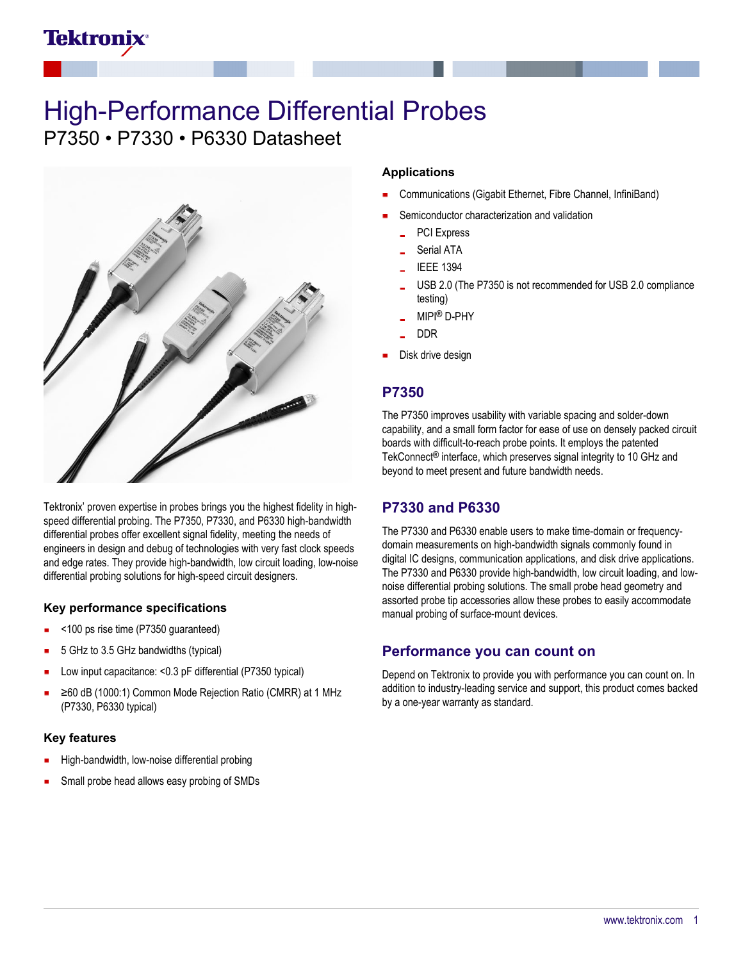## Tektronix

# High-Performance Differential Probes

P7350 • P7330 • P6330 Datasheet



Tektronix' proven expertise in probes brings you the highest fidelity in highspeed differential probing. The P7350, P7330, and P6330 high-bandwidth differential probes offer excellent signal fidelity, meeting the needs of engineers in design and debug of technologies with very fast clock speeds and edge rates. They provide high-bandwidth, low circuit loading, low-noise differential probing solutions for high-speed circuit designers.

### **Key performance specifications**

- <100 ps rise time (P7350 guaranteed)
- 5 GHz to 3.5 GHz bandwidths (typical)
- Low input capacitance: <0.3 pF differential (P7350 typical)
- ≥60 dB (1000:1) Common Mode Rejection Ratio (CMRR) at 1 MHz (P7330, P6330 typical)

#### **Key features**

- High-bandwidth, low-noise differential probing
- Small probe head allows easy probing of SMDs

### **Applications**

- Communications (Gigabit Ethernet, Fibre Channel, InfiniBand)
- Semiconductor characterization and validation
	- PCI Express
	- Serial ATA
	- IEEE 1394
	- USB 2.0 (The P7350 is not recommended for USB 2.0 compliance testing)
	- MIPI® D-PHY
	- DDR
- Disk drive design

### **P7350**

The P7350 improves usability with variable spacing and solder-down capability, and a small form factor for ease of use on densely packed circuit boards with difficult-to-reach probe points. It employs the patented TekConnect® interface, which preserves signal integrity to 10 GHz and beyond to meet present and future bandwidth needs.

### **P7330 and P6330**

The P7330 and P6330 enable users to make time-domain or frequencydomain measurements on high-bandwidth signals commonly found in digital IC designs, communication applications, and disk drive applications. The P7330 and P6330 provide high-bandwidth, low circuit loading, and lownoise differential probing solutions. The small probe head geometry and assorted probe tip accessories allow these probes to easily accommodate manual probing of surface-mount devices.

### **Performance you can count on**

Depend on Tektronix to provide you with performance you can count on. In addition to industry-leading service and support, this product comes backed by a one-year warranty as standard.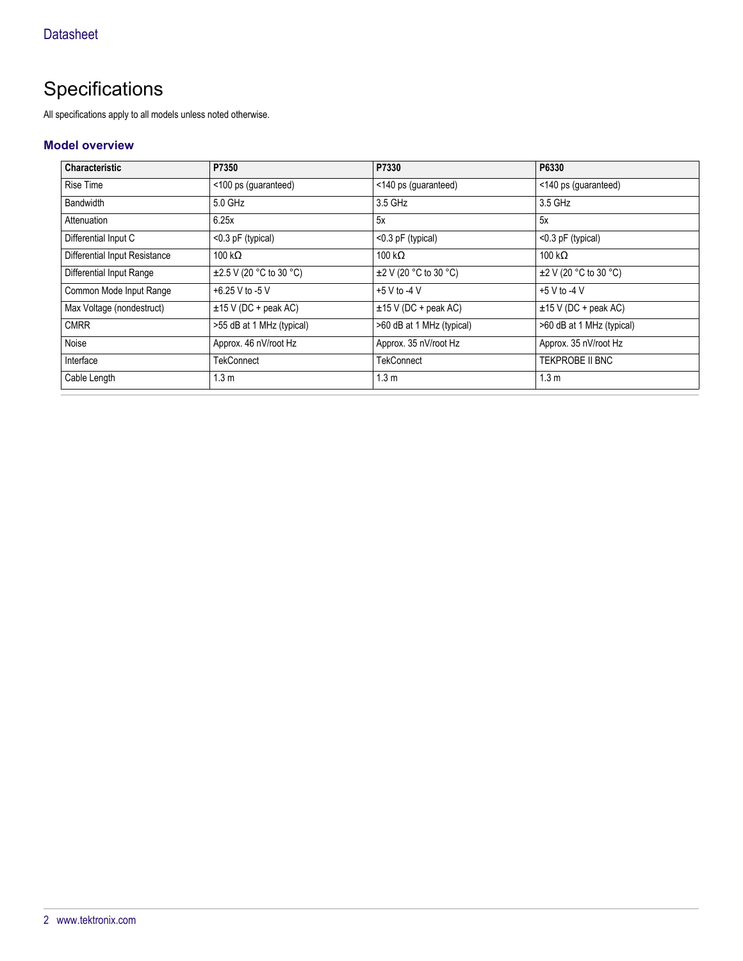## Specifications

All specifications apply to all models unless noted otherwise.

### **Model overview**

| <b>Characteristic</b>         | P7350                        | P7330                      | P6330                      |
|-------------------------------|------------------------------|----------------------------|----------------------------|
| Rise Time                     | <100 ps (guaranteed)         | <140 ps (guaranteed)       | <140 ps (guaranteed)       |
| <b>Bandwidth</b>              | 5.0 GHz                      | 3.5 GHz                    | 3.5 GHz                    |
| Attenuation                   | 6.25x                        | 5x                         | 5x                         |
| Differential Input C          | <0.3 pF (typical)            | <0.3 pF (typical)          | $< 0.3$ pF (typical)       |
| Differential Input Resistance | 100 k $\Omega$               | 100 k $\Omega$             | 100 k $\Omega$             |
| Differential Input Range      | $\pm 2.5$ V (20 °C to 30 °C) | $\pm$ 2 V (20 °C to 30 °C) | $\pm$ 2 V (20 °C to 30 °C) |
| Common Mode Input Range       | +6.25 V to -5 V              | $+5$ V to -4 V             | $+5$ V to -4 V             |
| Max Voltage (nondestruct)     | $±15$ V (DC + peak AC)       | $±15$ V (DC + peak AC)     | $±15$ V (DC + peak AC)     |
| <b>CMRR</b>                   | >55 dB at 1 MHz (typical)    | >60 dB at 1 MHz (typical)  | >60 dB at 1 MHz (typical)  |
| Noise                         | Approx. 46 nV/root Hz        | Approx. 35 nV/root Hz      | Approx. 35 nV/root Hz      |
| Interface                     | <b>TekConnect</b>            | TekConnect                 | <b>TEKPROBE II BNC</b>     |
| Cable Length                  | 1.3 <sub>m</sub>             | 1.3 <sub>m</sub>           | 1.3 <sub>m</sub>           |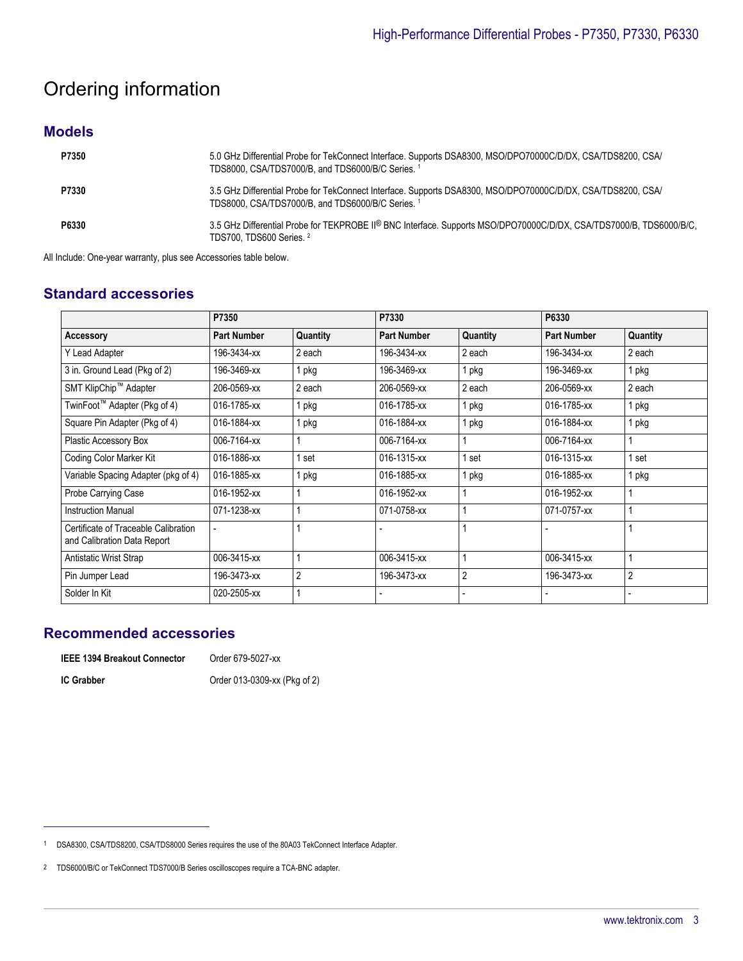## Ordering information

### **Models**

| P7350 | 5.0 GHz Differential Probe for TekConnect Interface. Supports DSA8300, MSO/DPO70000C/D/DX, CSA/TDS8200, CSA/<br>TDS8000, CSA/TDS7000/B, and TDS6000/B/C Series. 1 |
|-------|-------------------------------------------------------------------------------------------------------------------------------------------------------------------|
| P7330 | 3.5 GHz Differential Probe for TekConnect Interface. Supports DSA8300, MSO/DPO70000C/D/DX, CSA/TDS8200, CSA/<br>TDS8000, CSA/TDS7000/B, and TDS6000/B/C Series. 1 |
| P6330 | 3.5 GHz Differential Probe for TEKPROBE II® BNC Interface. Supports MSO/DPO70000C/D/DX, CSA/TDS7000/B, TDS6000/B/C,<br>TDS700, TDS600 Series. <sup>2</sup>        |

All Include: One-year warranty, plus see Accessories table below.

### **Standard accessories**

|                                                                     | P7350              |                | P7330              |                | P6330              |          |
|---------------------------------------------------------------------|--------------------|----------------|--------------------|----------------|--------------------|----------|
| Accessory                                                           | <b>Part Number</b> | Quantity       | <b>Part Number</b> | Quantity       | <b>Part Number</b> | Quantity |
| Y Lead Adapter                                                      | 196-3434-xx        | 2 each         | 196-3434-xx        | 2 each         | 196-3434-xx        | 2 each   |
| 3 in. Ground Lead (Pkg of 2)                                        | 196-3469-xx        | 1 pkg          | 196-3469-xx        | 1 pkg          | 196-3469-xx        | 1 pkg    |
| SMT KlipChip™ Adapter                                               | 206-0569-xx        | 2 each         | 206-0569-xx        | 2 each         | 206-0569-xx        | 2 each   |
| TwinFoot <sup>™</sup> Adapter (Pkg of 4)                            | 016-1785-xx        | 1 pkg          | 016-1785-xx        | 1 pkg          | 016-1785-xx        | 1 pkg    |
| Square Pin Adapter (Pkg of 4)                                       | 016-1884-xx        | 1 pkg          | 016-1884-xx        | 1 pkg          | 016-1884-xx        | 1 pkg    |
| Plastic Accessory Box                                               | 006-7164-xx        |                | 006-7164-xx        |                | 006-7164-xx        |          |
| Coding Color Marker Kit                                             | 016-1886-xx        | l set          | 016-1315-xx        | 1 set          | 016-1315-xx        | 1 set    |
| Variable Spacing Adapter (pkg of 4)                                 | 016-1885-xx        | 1 pkg          | 016-1885-xx        | 1 pkg          | 016-1885-xx        | 1 pkg    |
| Probe Carrying Case                                                 | 016-1952-xx        |                | 016-1952-xx        |                | 016-1952-xx        |          |
| <b>Instruction Manual</b>                                           | 071-1238-xx        |                | 071-0758-xx        |                | 071-0757-xx        |          |
| Certificate of Traceable Calibration<br>and Calibration Data Report |                    |                |                    |                |                    |          |
| Antistatic Wrist Strap                                              | 006-3415-xx        |                | 006-3415-xx        |                | 006-3415-xx        |          |
| Pin Jumper Lead                                                     | 196-3473-xx        | $\overline{2}$ | 196-3473-xx        | $\overline{2}$ | 196-3473-xx        | 2        |
| Solder In Kit                                                       | 020-2505-xx        |                |                    |                |                    |          |

### **Recommended accessories**

| IEEE 1394 Breakout Connector | Order 679-5027-xx            |
|------------------------------|------------------------------|
| <b>IC Grabber</b>            | Order 013-0309-xx (Pkg of 2) |

<sup>1</sup> DSA8300, CSA/TDS8200, CSA/TDS8000 Series requires the use of the 80A03 TekConnect Interface Adapter.

<sup>2</sup> TDS6000/B/C or TekConnect TDS7000/B Series oscilloscopes require a TCA-BNC adapter.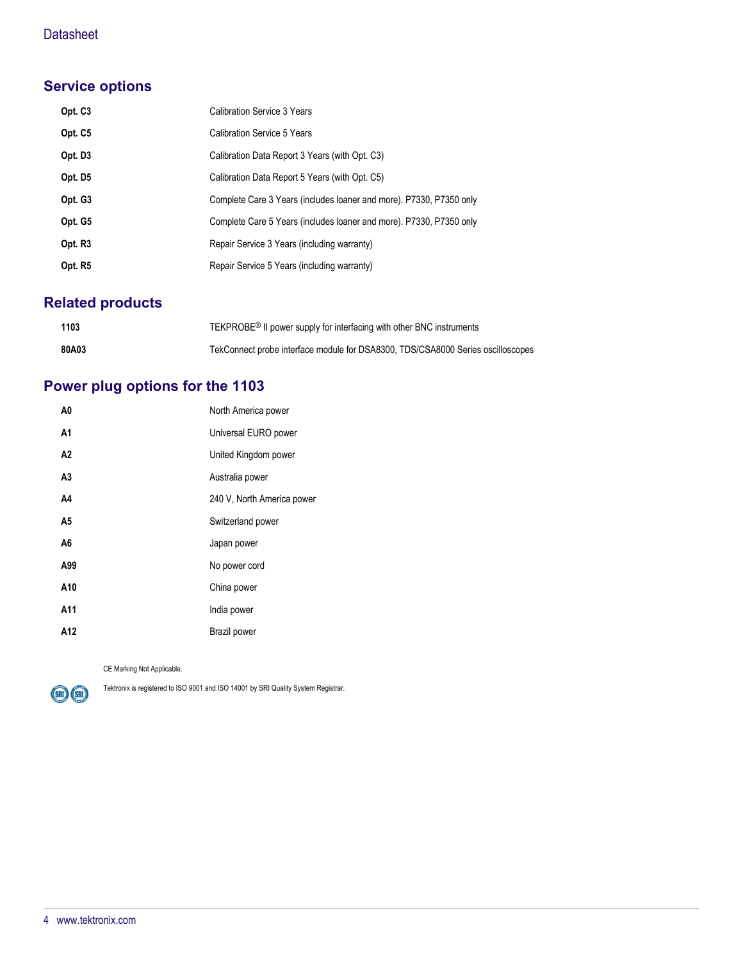### **Datasheet**

## **Service options**

| Opt. C <sub>3</sub> | <b>Calibration Service 3 Years</b>                                  |
|---------------------|---------------------------------------------------------------------|
| Opt. C5             | Calibration Service 5 Years                                         |
| Opt. D <sub>3</sub> | Calibration Data Report 3 Years (with Opt. C3)                      |
| Opt. D5             | Calibration Data Report 5 Years (with Opt. C5)                      |
| Opt. G3             | Complete Care 3 Years (includes loaner and more). P7330, P7350 only |
| Opt. G5             | Complete Care 5 Years (includes loaner and more). P7330, P7350 only |
| Opt. R3             | Repair Service 3 Years (including warranty)                         |
| Opt. R5             | Repair Service 5 Years (including warranty)                         |

## **Related products**

| 1103  | TEKPROBE <sup>®</sup> II power supply for interfacing with other BNC instruments |
|-------|----------------------------------------------------------------------------------|
| 80A03 | TekConnect probe interface module for DSA8300, TDS/CSA8000 Series oscilloscopes  |

## **Power plug options for the 1103**

| A0  | North America power        |
|-----|----------------------------|
| A1  | Universal EURO power       |
| A2  | United Kingdom power       |
| A3  | Australia power            |
| A4  | 240 V, North America power |
| A5  | Switzerland power          |
| A6  | Japan power                |
| A99 | No power cord              |
| A10 | China power                |
| A11 | India power                |
| A12 | <b>Brazil power</b>        |
|     |                            |

CE Marking Not Applicable.



Tektronix is registered to ISO 9001 and ISO 14001 by SRI Quality System Registrar.